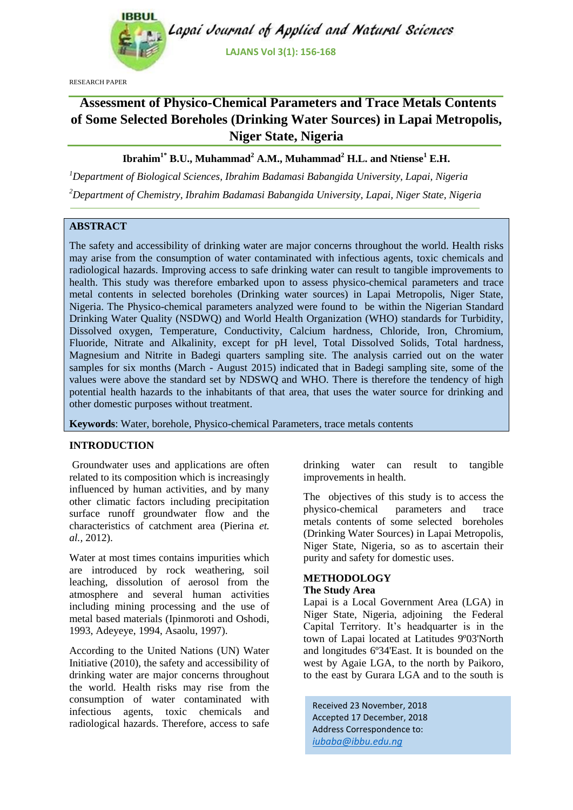

RESEARCH PAPER

# **Assessment of Physico-Chemical Parameters and Trace Metals Contents of Some Selected Boreholes (Drinking Water Sources) in Lapai Metropolis, Niger State, Nigeria**

## **Ibrahim1\* B.U., Muhammad<sup>2</sup> A.M., Muhammad<sup>2</sup> H.L. and Ntiense<sup>1</sup> E.H.**

*<sup>1</sup>Department of Biological Sciences, Ibrahim Badamasi Babangida University, Lapai, Nigeria <sup>2</sup>Department of Chemistry, Ibrahim Badamasi Babangida University, Lapai, Niger State, Nigeria*

## **ABSTRACT**

The safety and accessibility of drinking water are major concerns throughout the world. Health risks may arise from the consumption of water contaminated with infectious agents, toxic chemicals and radiological hazards. Improving access to safe drinking water can result to tangible improvements to health. This study was therefore embarked upon to assess physico-chemical parameters and trace metal contents in selected boreholes (Drinking water sources) in Lapai Metropolis, Niger State, Nigeria. The Physico-chemical parameters analyzed were found to be within the Nigerian Standard Drinking Water Quality (NSDWQ) and World Health Organization (WHO) standards for Turbidity, Dissolved oxygen, Temperature, Conductivity, Calcium hardness, Chloride, Iron, Chromium, Fluoride, Nitrate and Alkalinity, except for pH level, Total Dissolved Solids, Total hardness, Magnesium and Nitrite in Badegi quarters sampling site. The analysis carried out on the water samples for six months (March - August 2015) indicated that in Badegi sampling site, some of the values were above the standard set by NDSWQ and WHO. There is therefore the tendency of high potential health hazards to the inhabitants of that area, that uses the water source for drinking and other domestic purposes without treatment.

**Keywords**: Water, borehole, Physico-chemical Parameters, trace metals contents

## **INTRODUCTION**

Groundwater uses and applications are often related to its composition which is increasingly influenced by human activities, and by many other climatic factors including precipitation surface runoff groundwater flow and the characteristics of catchment area (Pierina *et. al.,* 2012).

Water at most times contains impurities which are introduced by rock weathering, soil leaching, dissolution of aerosol from the atmosphere and several human activities including mining processing and the use of metal based materials (Ipinmoroti and Oshodi, 1993, Adeyeye, 1994, Asaolu, 1997).

According to the United Nations (UN) Water Initiative (2010), the safety and accessibility of drinking water are major concerns throughout the world. Health risks may rise from the consumption of water contaminated with infectious agents, toxic chemicals and radiological hazards. Therefore, access to safe drinking water can result to tangible improvements in health.

The objectives of this study is to access the physico-chemical parameters and trace metals contents of some selected boreholes (Drinking Water Sources) in Lapai Metropolis, Niger State, Nigeria, so as to ascertain their purity and safety for domestic uses.

#### **METHODOLOGY The Study Area**

Lapai is a Local Government Area (LGA) in Niger State, Nigeria, adjoining the Federal Capital Territory. It's headquarter is in the town of Lapai located at Latitudes 9º03'North and longitudes 6º34'East. It is bounded on the west by Agaie LGA, to the north by Paikoro, to the east by Gurara LGA and to the south is

Received 23 November, 2018 Accepted 17 December, 2018 Address Correspondence to: *iubaba@ibbu.edu.ng*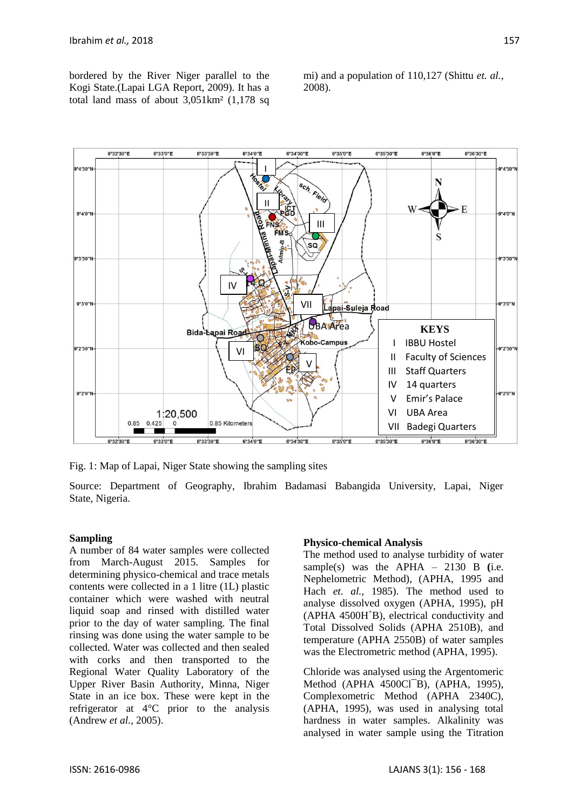bordered by the River Niger parallel to the Kogi State.(Lapai LGA Report, 2009). It has a total land mass of about 3,051km² (1,178 sq

mi) and a population of 110,127 (Shittu *et. al.,*  2008).



Fig. 1: Map of Lapai, Niger State showing the sampling sites

Source: Department of Geography, Ibrahim Badamasi Babangida University, Lapai, Niger State, Nigeria.

#### **Sampling**

A number of 84 water samples were collected from March-August 2015. Samples for determining physico-chemical and trace metals contents were collected in a 1 litre (1L) plastic container which were washed with neutral liquid soap and rinsed with distilled water prior to the day of water sampling. The final rinsing was done using the water sample to be collected. Water was collected and then sealed with corks and then transported to the Regional Water Quality Laboratory of the Upper River Basin Authority, Minna, Niger State in an ice box. These were kept in the refrigerator at 4°C prior to the analysis (Andrew *et al.,* 2005).

#### **Physico-chemical Analysis**

The method used to analyse turbidity of water sample(s) was the  $APHA - 2130 B$  (i.e. Nephelometric Method), (APHA, 1995 and Hach *et. al.,* 1985). The method used to analyse dissolved oxygen (APHA, 1995), pH (APHA 4500H<sup>+</sup>B), electrical conductivity and Total Dissolved Solids (APHA 2510B), and temperature (APHA 2550B) of water samples was the Electrometric method (APHA, 1995).

Chloride was analysed using the Argentomeric Method (APHA 4500Cl<sup>-</sup>B), (APHA, 1995), Complexometric Method (APHA 2340C), (APHA, 1995), was used in analysing total hardness in water samples. Alkalinity was analysed in water sample using the Titration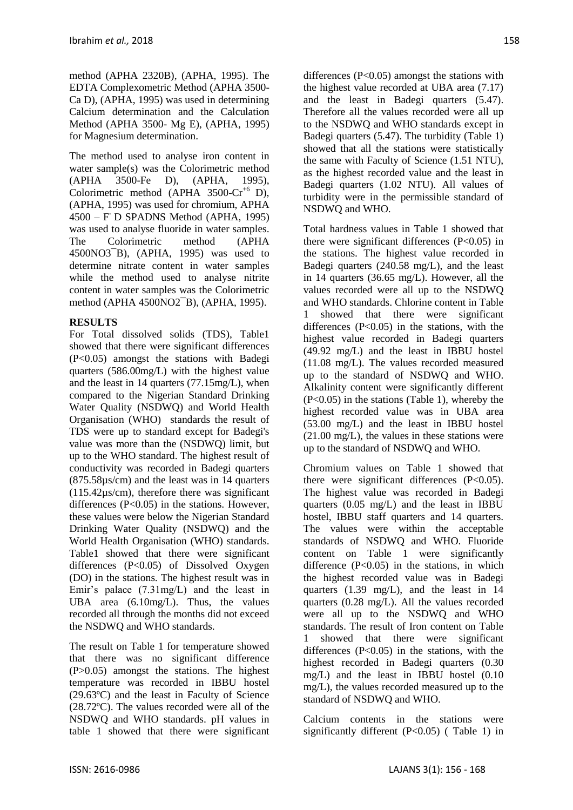method (APHA 2320B), (APHA, 1995). The EDTA Complexometric Method (APHA 3500- Ca D), (APHA, 1995) was used in determining Calcium determination and the Calculation Method (APHA 3500- Mg E), (APHA, 1995) for Magnesium determination.

The method used to analyse iron content in water sample(s) was the Colorimetric method (APHA 3500-Fe D), (APHA, 1995), Colorimetric method (APHA  $3500$ -Cr<sup>+6</sup> D), (APHA, 1995) was used for chromium, APHA 4500 – F - D SPADNS Method (APHA, 1995) was used to analyse fluoride in water samples. The Colorimetric method (APHA 4500NO3¯B), (APHA, 1995) was used to determine nitrate content in water samples while the method used to analyse nitrite content in water samples was the Colorimetric method (APHA 4500NO2¯B), (APHA, 1995).

## **RESULTS**

For Total dissolved solids (TDS), Table1 showed that there were significant differences (P<0.05) amongst the stations with Badegi quarters (586.00mg/L) with the highest value and the least in 14 quarters (77.15mg/L), when compared to the Nigerian Standard Drinking Water Quality (NSDWQ) and World Health Organisation (WHO) standards the result of TDS were up to standard except for Badegi's value was more than the (NSDWQ) limit, but up to the WHO standard. The highest result of conductivity was recorded in Badegi quarters (875.58µs/cm) and the least was in 14 quarters (115.42µs/cm), therefore there was significant differences  $(P<0.05)$  in the stations. However, these values were below the Nigerian Standard Drinking Water Quality (NSDWQ) and the World Health Organisation (WHO) standards. Table1 showed that there were significant differences (P<0.05) of Dissolved Oxygen (DO) in the stations. The highest result was in Emir's palace (7.31mg/L) and the least in UBA area (6.10mg/L). Thus, the values recorded all through the months did not exceed the NSDWQ and WHO standards.

The result on Table 1 for temperature showed that there was no significant difference (P>0.05) amongst the stations. The highest temperature was recorded in IBBU hostel (29.63ºC) and the least in Faculty of Science (28.72ºC). The values recorded were all of the NSDWQ and WHO standards. pH values in table 1 showed that there were significant differences (P<0.05) amongst the stations with the highest value recorded at UBA area (7.17) and the least in Badegi quarters (5.47). Therefore all the values recorded were all up to the NSDWQ and WHO standards except in Badegi quarters (5.47). The turbidity (Table 1) showed that all the stations were statistically the same with Faculty of Science (1.51 NTU), as the highest recorded value and the least in Badegi quarters (1.02 NTU). All values of turbidity were in the permissible standard of NSDWQ and WHO.

Total hardness values in Table 1 showed that there were significant differences  $(P<0.05)$  in the stations. The highest value recorded in Badegi quarters (240.58 mg/L), and the least in 14 quarters (36.65 mg/L). However, all the values recorded were all up to the NSDWQ and WHO standards. Chlorine content in Table 1 showed that there were significant differences  $(P<0.05)$  in the stations, with the highest value recorded in Badegi quarters (49.92 mg/L) and the least in IBBU hostel (11.08 mg/L). The values recorded measured up to the standard of NSDWQ and WHO. Alkalinity content were significantly different (P<0.05) in the stations (Table 1), whereby the highest recorded value was in UBA area (53.00 mg/L) and the least in IBBU hostel (21.00 mg/L), the values in these stations were up to the standard of NSDWQ and WHO.

Chromium values on Table 1 showed that there were significant differences  $(P<0.05)$ . The highest value was recorded in Badegi quarters (0.05 mg/L) and the least in IBBU hostel, IBBU staff quarters and 14 quarters. The values were within the acceptable standards of NSDWQ and WHO. Fluoride content on Table 1 were significantly difference  $(P<0.05)$  in the stations, in which the highest recorded value was in Badegi quarters (1.39 mg/L), and the least in 14 quarters (0.28 mg/L). All the values recorded were all up to the NSDWQ and WHO standards. The result of Iron content on Table 1 showed that there were significant differences  $(P<0.05)$  in the stations, with the highest recorded in Badegi quarters (0.30 mg/L) and the least in IBBU hostel (0.10 mg/L), the values recorded measured up to the standard of NSDWQ and WHO.

Calcium contents in the stations were significantly different (P<0.05) ( Table 1) in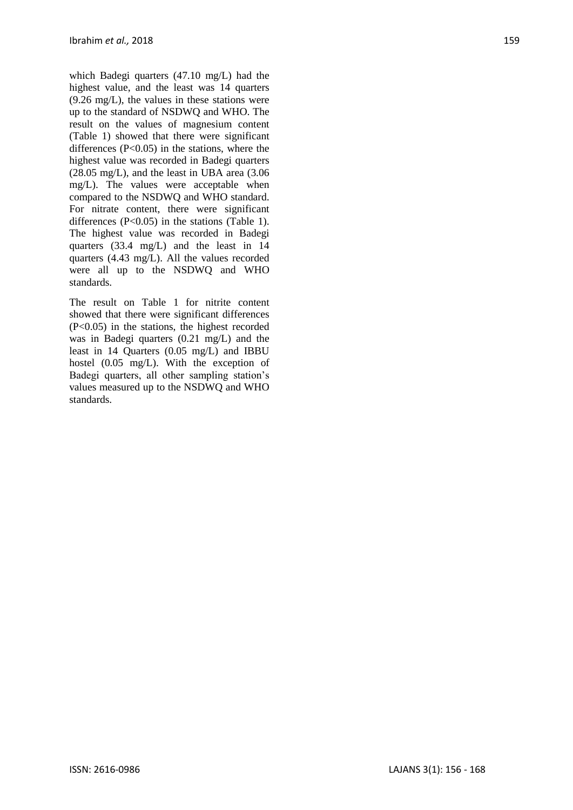which Badegi quarters (47.10 mg/L) had the highest value, and the least was 14 quarters (9.26 mg/L), the values in these stations were up to the standard of NSDWQ and WHO. The result on the values of magnesium content (Table 1) showed that there were significant differences  $(P<0.05)$  in the stations, where the highest value was recorded in Badegi quarters (28.05 mg/L), and the least in UBA area (3.06 mg/L). The values were acceptable when compared to the NSDWQ and WHO standard. For nitrate content, there were significant differences (P<0.05) in the stations (Table 1). The highest value was recorded in Badegi quarters (33.4 mg/L) and the least in 14 quarters (4.43 mg/L). All the values recorded were all up to the NSDWQ and WHO standards.

The result on Table 1 for nitrite content showed that there were significant differences (P<0.05) in the stations, the highest recorded was in Badegi quarters (0.21 mg/L) and the least in 14 Quarters (0.05 mg/L) and IBBU hostel (0.05 mg/L). With the exception of Badegi quarters, all other sampling station's values measured up to the NSDWQ and WHO standards.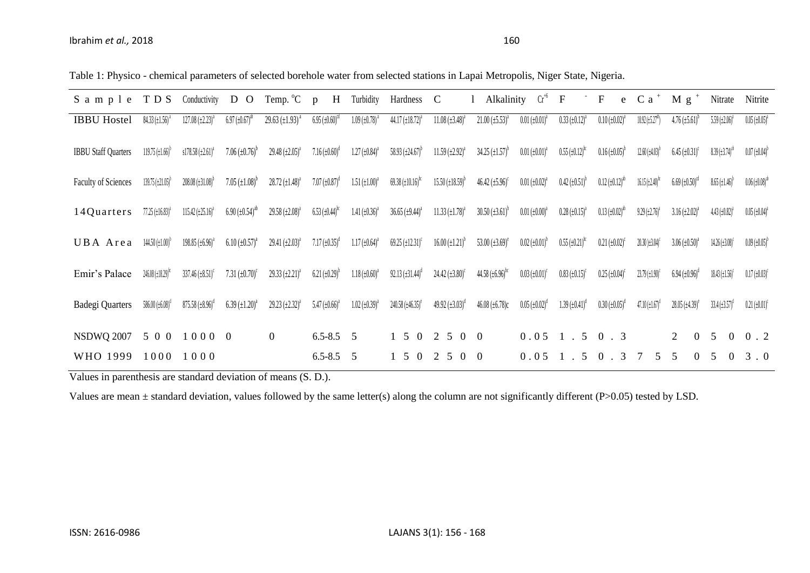|  | Table 1: Physico - chemical parameters of selected borehole water from selected stations in Lapai Metropolis, Niger State, Nigeria. |  |  |
|--|-------------------------------------------------------------------------------------------------------------------------------------|--|--|
|  |                                                                                                                                     |  |  |

| S a m p l e                | TDS                                             | Conductivity                         | D<br>$\overline{O}$                          | Temp. <sup>o</sup> C              | H<br>$\mathfrak{p}$                          | Turbidity                        | Hardness                                       | $\mathbf C$                                   | Alkalinity                          | $Cr^{+6}$                          | $\mathbf F$                                  | ${\bf F}$<br>e                               | C <sub>a</sub>                                | Mg                                           | Nitrate                                      | Nitrite                                      |
|----------------------------|-------------------------------------------------|--------------------------------------|----------------------------------------------|-----------------------------------|----------------------------------------------|----------------------------------|------------------------------------------------|-----------------------------------------------|-------------------------------------|------------------------------------|----------------------------------------------|----------------------------------------------|-----------------------------------------------|----------------------------------------------|----------------------------------------------|----------------------------------------------|
| <b>IBBU Hostel</b>         | $84.33 \left( \pm 1.56 \right)$ <sup>a</sup>    | $127.08 (\pm 2.23)^{a}$              | $6.97 \left( \pm 0.67 \right)^{ab}$          | 29.63 $(\pm 1.93)^{a}$            | $6.95 \left( \pm 0.60 \right)^{cd}$          | $1.09~(\pm 0.78)$                | 44.17 $(\pm 18.72)^{a}$                        | $11.08 \ (\pm 3.48)^4$                        | $21.00 \left( \pm 5.53 \right)^{a}$ | $0.01 \left( \pm 0.01 \right)^{3}$ | $0.33 \left( \pm 0.12 \right)^3$             | $0.10 (\pm 0.02)$                            | $10.92 \left( \pm 5.27^{\text{ab}} \right)$   | $4.76 \left( \pm 5.61 \right)^t$             | 5.59 $(\pm 2.06)^{a}$                        | $0.05 \left( \pm 0.05 \right)^{a}$           |
| <b>IBBU Staff Quarters</b> | $119.75 \left( \pm 1.66 \right)^{6}$            | $s178.58 \left( \pm 2.61 \right)^a$  | $7.06 \left( \pm 0.76 \right)^{b}$           | 29.48 $(\pm 2.05)^{a}$            | $7.16 \left( \pm 0.60 \right)^d$             | $1.27 \left( \pm 0.84 \right)^a$ | 58.93 $(\pm 24.67)^b$                          | $11.59 \left( \pm 2.92 \right)^{a}$           | $34.25 \left( \pm 1.57 \right)^b$   | $0.01 \left( \pm 0.01 \right)^a$   | $0.55 \left( \pm 0.12 \right)$ <sup>bc</sup> | $0.16 \left( \pm 0.05 \right)^{6}$           | $12.60 \left( \pm 4.03 \right)$ <sup>b</sup>  | $6.45 \left( \pm 0.31 \right)^c$             | $8.39 \left( \pm 3.74 \right)$ <sup>20</sup> | $0.07 \left( \pm 0.04 \right)^{6}$           |
| <b>Faculty of Sciences</b> | $139.75 \left( \pm 21.05 \right)$ <sup>b</sup>  | $208.08 \left( \pm 31.08 \right)^b$  | 7.05 $(\pm 1.08)^b$                          | $28.72 \ (\pm 1.48)^{a}$          | 7.07 $(\pm 0.87)^d$                          | $1.51 \ (\pm 1.00)^a$            | $69.38 \left( \pm 10.16 \right)$ <sup>bc</sup> | $15.50 \left( \pm 18.59 \right)$ <sup>b</sup> | 46.42 $(\pm 5.96)^c$                | $0.01 (\pm 0.02)^{a}$              | $0.42 \ (\pm 0.51)^{b}$                      | $0.12 \left( \pm 0.12 \right)^{ab}$          | $16.15 \left( \pm 2.40 \right)$ <sup>tc</sup> | $6.69 \left( \pm 0.50 \right)$ <sup>od</sup> | $8.65 \left( \pm 1.46 \right)$               | $0.06 \left( \pm 0.08 \right)$ <sup>ab</sup> |
| 14Quarters                 | $77.25 \ (\pm 16.83)^4$                         | $115.42 \left( \pm 25.16 \right)^a$  | $6.90 \left( \pm 0.54 \right)$ <sup>ab</sup> | $29.58 \ (\pm 2.08)^a$            | $6.53 \left( \pm 0.44 \right)$ <sup>bc</sup> | 1.41 $(\pm 0.36)^a$              | 36.65 $(\pm 9.44)^{a}$                         | $11.33 \ (\pm 1.78)^a$                        | $30.50 \left( \pm 3.61 \right)^{b}$ | $0.01~(\pm 0.00)^{a}$              | $0.28 (\pm 0.15)^{a}$                        | $0.13 \left( \pm 0.02 \right)$ <sup>ab</sup> | $9.29 \left( \pm 2.76 \right)^{4}$            | $3.16 (\pm 2.02)^{a}$                        | $4.43 \ (\pm 0.82)^{a}$                      | $0.05 \left( \pm 0.04 \right)^{a}$           |
| UBA Area                   | $144.50 \left( \pm 1.00 \right)^{6}$            | $198.85 \left( \pm 6.96 \right)^{a}$ | $6.10 \left( \pm 0.57 \right)^a$             | 29.41 $(\pm 2.03)^{a}$            | $7.17 \left( \pm 0.35 \right)^d$             | $1.17 \left( \pm 0.64 \right)^a$ | $69.25 \left( \pm 12.31 \right)^c$             | $16.00 \left( \pm 1.21 \right)^{6}$           | 53.00 $(\pm 3.69)^e$                | $0.02 \left( \pm 0.01 \right)^{6}$ | $0.55 \left( \pm 0.21 \right)$ <sup>bc</sup> | $0.21 \left( \pm 0.02 \right)^c$             | $20.30$ ) $\pm 3.04$ ) <sup>c</sup>           | $3.06 (\pm 0.50)^{4}$                        | $14.26 \left( \pm 3.08 \right)^c$            | $0.09 \left( \pm 0.05 \right)^{6}$           |
| Emir's Palace              | $246.08 \left( \pm 18.29 \right)$ <sup>to</sup> | $337.46 \left( \pm 8.51 \right)^c$   | 7.31 $(\pm 0.70)^c$                          | $29.33 \left( \pm 2.21 \right)^a$ | $6.21 \left( \pm 0.29 \right)^{b}$           | $1.18 \left( \pm 0.60 \right)^a$ | $92.13 \left( \pm 31.44 \right)^d$             | $24.42 \left( \pm 3.80 \right)^c$             | 44.58 $(\pm 6.96)^{bc}$             | $0.03 \left( \pm 0.01 \right)^c$   | $0.83 \left( \pm 0.15 \right)^c$             | $0.25 \left( \pm 0.04 \right)^c$             | $23.79 \ (\pm 1.90)^c$                        | $6.94 \left( \pm 0.96 \right)^{\circ}$       | $18.43 \left( \pm 1.56 \right)^c$            | $0.17 \left( \pm 0.03 \right)^c$             |
| Badegi Quarters            | 586.00 $(\pm 6.08)^d$                           | $875.58 \left( \pm 8.96 \right)^d$   | $6.39 \left( \pm 1.20 \right)^a$             | 29.23 $(\pm 2.32)^a$              | 5.47 $(\pm 0.66)^a$                          | $1.02 \ (\pm 0.39)^a$            | 240.58 $(\pm 46.35)^e$                         | 49.92 $(\pm 3.03)^d$                          | $46.08 (\pm 6.78)c$                 | $0.05 \left( \pm 0.02 \right)^d$   | $1.39 \left( \pm 0.41 \right)^d$             | $0.30 (\pm 0.05)^d$                          | $47.10 \left( \pm 1.67 \right)^{d}$           | $28.05 \left( \pm 4.39 \right)^e$            | $33.4 \left( \pm 3.57 \right)^d$             | $0.21 \left( \pm 0.01 \right)^c$             |
| <b>NSDWQ 2007</b>          | 5 0 0                                           | 10000                                |                                              | $\overline{0}$                    | $6.5 - 8.5$ 5                                |                                  | 5 0                                            | $2 \t5 \t0 \t0$                               |                                     | 0.05                               | $1 \cdot 5$                                  | $0 \cdot 3$                                  |                                               | $\overline{2}$<br>$\overline{0}$             | 5<br>$\overline{0}$                          | 0.2                                          |
| WHO 1999                   | 1000                                            | 1000                                 |                                              |                                   | $6.5 - 8.5$ 5                                |                                  | 5 0                                            | 2 <sub>5</sub><br>$\theta$                    | $\theta$                            | 0.05                               | 5                                            | $0 \cdot 3$                                  | 5                                             | 5<br>$\Omega$                                | $\overline{\phantom{1}}$                     | 3.0                                          |

Values in parenthesis are standard deviation of means (S. D.).

Values are mean ± standard deviation, values followed by the same letter(s) along the column are not significantly different (P>0.05) tested by LSD.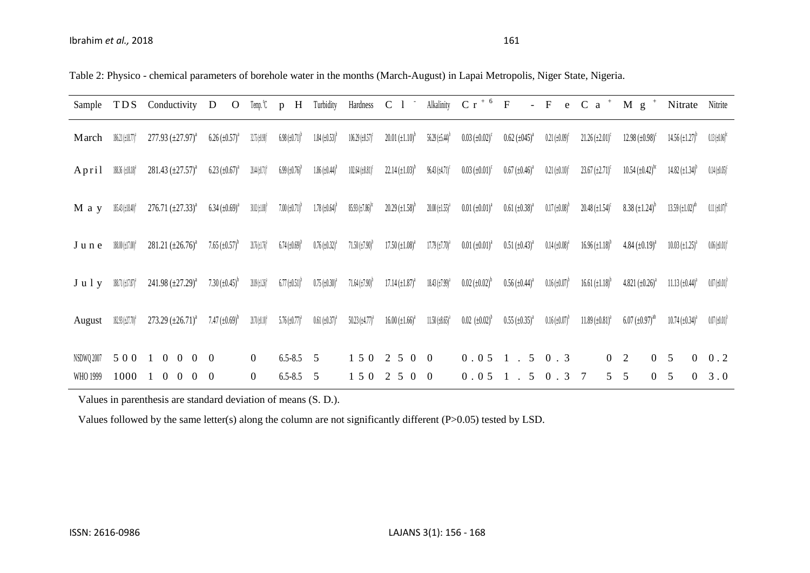| Table 2: Physico - chemical parameters of borehole water in the months (March-August) in Lapai Metropolis, Niger State, Nigeria. |  |
|----------------------------------------------------------------------------------------------------------------------------------|--|
|----------------------------------------------------------------------------------------------------------------------------------|--|

| Sample                 | <b>TDS</b>                            | Conductivity                                                                       | D<br>$\Omega$                      | Temp. °C                            | H<br>$\mathbf{D}$                  | Turbidity                                   | Hardness                             | C <sub>1</sub>                               | Alkalinity                          | $C r^{+6} F$                       |                                  | $-$ F<br>e                         | $C$ a $+$                                    | $g^+$<br>M                                    | Nitrate                                       | Nitrite                            |
|------------------------|---------------------------------------|------------------------------------------------------------------------------------|------------------------------------|-------------------------------------|------------------------------------|---------------------------------------------|--------------------------------------|----------------------------------------------|-------------------------------------|------------------------------------|----------------------------------|------------------------------------|----------------------------------------------|-----------------------------------------------|-----------------------------------------------|------------------------------------|
| March                  | $186.21 \left( \pm 18.77 \right)^3$   | $277.93 \left( \pm 27.97 \right)^{a}$                                              | $6.26 \ (\pm 0.57)^{a}$            | $32.75 \ (\pm 0.98)^c$              | $6.98 \left( \pm 0.71 \right)^{6}$ | $1.84 \ (\pm 0.53)^{h}$                     | $106.29 \ (\pm 8.57)^c$              | $20.01 \ (\pm 1.10)^{b}$                     | $56.29 \left( \pm 5.44 \right)$     | $0.03~(\pm 0.02)^c$                | $0.62 \ (\pm 0.45)^a$            | $0.21 (\pm 0.09)^c$                | $21.26 \ (\pm 2.01)^c$                       | $12.98 \ (\pm 0.98)^c$                        | $14.56 \left( \pm 1.27 \right)$ <sup>b</sup>  | $0.13~(\pm 0.06)^{nc}$             |
| April                  | $188.36 \ (\pm 18.18)^4$              | $281.43 \left( \pm 27.57 \right)^{a}$                                              | $6.23 \left( \pm 0.67 \right)^a$   | $28.44 \left( \pm 0.71 \right)^4$   | $6.99 \left( \pm 0.76 \right)$     | $1.86 \left( \pm 0.44 \right)$ <sup>b</sup> | $102.64 \left( \pm 8.81 \right)^c$   | $22.14 \left( \pm 1.03 \right)^b$            | $96.43 \left( \pm 4.71 \right)^c$   | $0.03 \left( \pm 0.01 \right)^c$   | $0.67 \left( \pm 0.46 \right)^a$ | $0.21 (\pm 0.10)^c$                | $23.67 \left( \pm 2.71 \right)^c$            | $10.54 \left( \pm 0.42 \right)$ <sup>bc</sup> | $14.82 \left( \pm 1.34 \right)$ <sup>b</sup>  | $0.14 \left( \pm 0.05 \right)^c$   |
| M a y                  | $185.43 \left( \pm 18.40 \right)^{2}$ | $276.71 \left( \pm 27.33 \right)^a$                                                | $6.34 \left( \pm 0.69 \right)^{a}$ | $30.02 \ (\pm 1.88)^9$              | $7.00 \left( \pm 0.71 \right)$     | $1.78 \ (\pm 0.64)^{o}$                     | $85.93 \left( \pm 7.86 \right)^{60}$ | $20.29 \left( \pm 1.58 \right)$ <sup>b</sup> | $20.00 \left( \pm 1.55 \right)^{a}$ | $0.01 (\pm 0.01)^{a}$              | $0.61 (\pm 0.38)^{a}$            | $0.17 (\pm 0.08)^{6}$              | $20.48 \left( \pm 1.54 \right)^c$            | $8.38 (\pm 1.24)^b$                           | $13.59 \left( \pm 1.02 \right)$ <sup>ab</sup> | $0.11~(\pm 0.07)^{n}$              |
| June                   | $188.00 \left( \pm 17.00 \right)^2$   | 281.21 $(\pm 26.76)^a$                                                             | $7.65 \left( \pm 0.57 \right)^{b}$ | $28.76 \left( \pm 1.76 \right)^{a}$ | $6.74 \left( \pm 0.69 \right)^{6}$ | $0.76 \left( \pm 0.32 \right)^a$            | $71.50 \left( \pm 7.90 \right)^{6}$  | $17.50 \ (\pm 1.08)^{a}$                     | $17.79 \left( \pm 7.70 \right)^{a}$ | $0.01 \ (\pm 0.01)^a$              | $0.51 \left( \pm 0.43 \right)^a$ | $0.14 (\pm 0.08)^3$                | $16.96 \left( \pm 1.18 \right)$ <sup>b</sup> | 4.84 $(\pm 0.19)^{a}$                         | $10.03 \left( \pm 1.25 \right)^a$             | $0.06 \left( \pm 0.01 \right)^{3}$ |
| $J$ u $l$ y            | $188.71 \ (\pm 17.87)^4$              | 241.98 $(\pm 27.29)^a$                                                             | 7.30 $(\pm 0.45)^{b}$              | $28.09 \left( \pm 1.26 \right)^3$   | $6.77 \left( \pm 0.51 \right)^{b}$ | $0.75~(\pm 0.30)^{a}$                       | $71.64 \left( \pm 7.90 \right)^{b}$  | $17.14 \left( \pm 1.87 \right)^a$            | $18.43 \left( \pm 7.99 \right)^{a}$ | $0.02 \left( \pm 0.02 \right)^{b}$ | $0.56 \left( \pm 0.44 \right)^a$ | $0.16 \left( \pm 0.07 \right)^{6}$ | $16.61 \left( \pm 1.18 \right)$ <sup>b</sup> | 4.821 $(\pm 0.26)^a$                          | $11.13 \ (\pm 0.44)^a$                        | $0.07~(\pm 0.01)^{b}$              |
| August                 | 182.93 (±27.70) <sup>2</sup>          | 273.29 $(\pm 26.71)^a$                                                             | 7.47 $(\pm 0.69)^b$                | $28.70 (\pm 0.10)^2$                | $5.76 \ (\pm 0.77)^4$              | $0.61~(\pm 0.37)^{a}$                       | $50.23 \left( \pm 4.77 \right)^{a}$  | $16.00 \ (\pm 1.66)^a$                       | $11.50 \left( \pm 8.65 \right)^{a}$ | $0.02~(\pm 0.02)^{b}$              | $0.55 \ (\pm 0.35)^a$            | $0.16 \ (\pm 0.07)^{b}$            | $11.89 \left( \pm 0.81 \right)^a$            | $6.07 \left( \pm 0.97 \right)$ <sup>ab</sup>  | $10.74~(\pm 0.34)^a$                          | $0.07 \left( \pm 0.01 \right)^{b}$ |
| NSDWQ 2007<br>WHO 1999 | 5 0 0<br>1000                         | $\overline{0}$<br>$0\quad 0$<br>$\overline{0}$<br>$\Omega$<br>$\Omega$<br>$\Omega$ | $\overline{0}$                     | $\overline{0}$<br>$\overline{0}$    | $6.5 - 8.5$ 5<br>$6.5 - 8.5$       | 5                                           | 150<br>150                           | 2 5 0<br>2<br>-5<br>$\theta$                 | $\overline{0}$<br>$\overline{0}$    | $0.051$ .<br>0.05                  | $5\overline{)}$<br>5             | 0.3<br>$\cdot$ 3<br>$\overline{0}$ | $\overline{0}$<br>5<br>$\tau$                | $\overline{0}$<br>2<br>5<br>$\Omega$          | $\mathbf{0}$<br>5<br>$\theta$<br>5            | 0.2<br>3.0                         |

Values in parenthesis are standard deviation of means (S. D.).

Values followed by the same letter(s) along the column are not significantly different (P>0.05) tested by LSD.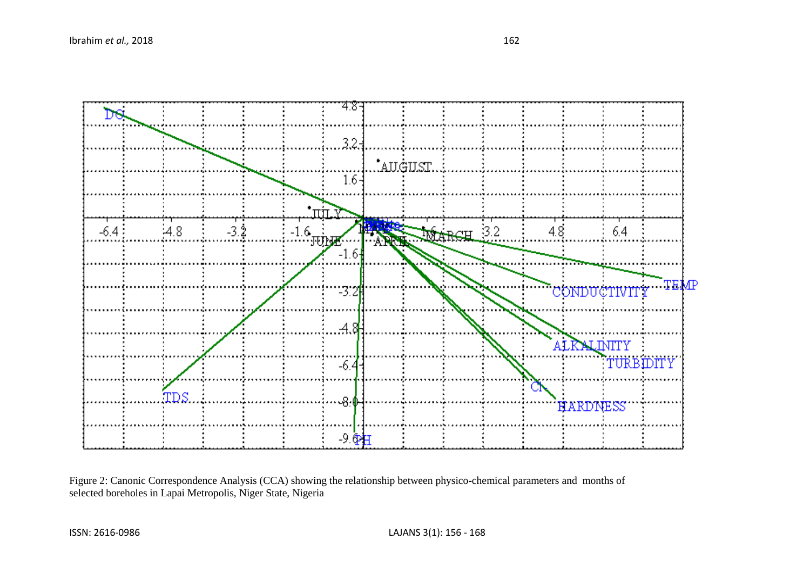

Figure 2: Canonic Correspondence Analysis (CCA) showing the relationship between physico-chemical parameters and months of selected boreholes in Lapai Metropolis, Niger State, Nigeria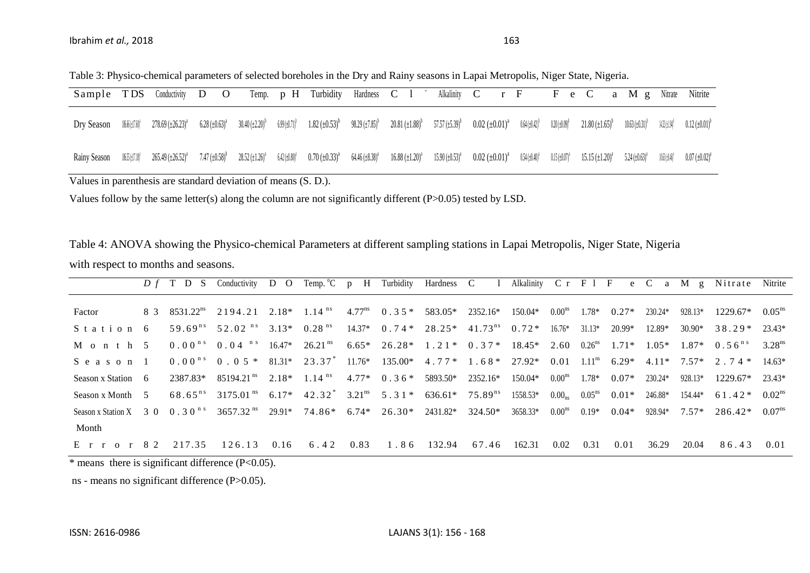| Table 3: Physico-chemical parameters of selected boreholes in the Dry and Rainy seasons in Lapai Metropolis, Niger State, Nigeria. |  |
|------------------------------------------------------------------------------------------------------------------------------------|--|
|                                                                                                                                    |  |

| $20.81~(\pm 1.88)^{b}$<br>57.57 $(\pm 5.39)^b$ 0.02 $(\pm 0.01)^a$<br>$6.99 \left( \pm 0.71 \right)^b$<br>$1.82 \left(\pm 0.53\right)^b$ 98.29 $\left(\pm 7.85\right)^b$<br>$0.64\ (\pm0.42)^{b}$<br>$30.40 \left( \pm 2.20 \right)$ <sup>b</sup><br>$0.20\left(\pm0.09\right)^{\circ}$<br>$21.80 \left( \pm 1.65 \right)^{6}$<br>6.28 $(\pm 0.63)^{a}$<br>$10.63 \left( \pm 0.31 \right)^{\circ}$<br>$278.69 \left(\pm 26.23\right)^a$<br>14.32 (±1.94)°<br>$186.66\ (\pm 17.60)$<br>Dry Season<br>$28.52 \left( \pm 1.26 \right)^a$<br>$6.42 \ (\pm 0.80)^2$<br>$0.70 \ (\pm 0.33)^{a}$ 64.46 $(\pm 8.38)^{a}$<br>7.47 $(\pm 0.58)^b$<br>$16.88 \ (\pm 1.20)^a$<br>$15.90 \left(\pm 0.53\right)^{\text{a}}$ 0.02 $\left(\pm 0.01\right)^{\text{a}}$<br>$0.54 \left( \pm 0.40 \right)^{2}$<br>$1\frac{1}{6}$ $\frac{1}{1}$ $\frac{1}{1}$ $\frac{1}{1}$ $\frac{1}{1}$ $\frac{1}{1}$ $\frac{1}{1}$ $\frac{1}{1}$ $\frac{1}{1}$ $\frac{1}{1}$ $\frac{1}{1}$ $\frac{1}{1}$ $\frac{1}{1}$ $\frac{1}{1}$ $\frac{1}{1}$ $\frac{1}{1}$ $\frac{1}{1}$ $\frac{1}{1}$ $\frac{1}{1}$ $\frac{1}{1}$ $\frac{1}{1}$ $\frac{1}{1}$<br>$0.15~(\pm 0.07)^2$<br>$15.15 \ (\pm 1.20)^a$<br>5.24 $(\pm 0.63)^a$<br>10.63 (+0.46) <sup>2</sup><br>Rainy Season | Sample TDS | Conductivity | D<br>$\overline{O}$ |  | Temp. p H Turbidity | Hardness C 1 | Alkalinity $C$ $r$ $F$ |  | F e C | a M g | Nitrate | Nitrite                            |
|-------------------------------------------------------------------------------------------------------------------------------------------------------------------------------------------------------------------------------------------------------------------------------------------------------------------------------------------------------------------------------------------------------------------------------------------------------------------------------------------------------------------------------------------------------------------------------------------------------------------------------------------------------------------------------------------------------------------------------------------------------------------------------------------------------------------------------------------------------------------------------------------------------------------------------------------------------------------------------------------------------------------------------------------------------------------------------------------------------------------------------------------------------------------------------------------------------------------------------------------|------------|--------------|---------------------|--|---------------------|--------------|------------------------|--|-------|-------|---------|------------------------------------|
|                                                                                                                                                                                                                                                                                                                                                                                                                                                                                                                                                                                                                                                                                                                                                                                                                                                                                                                                                                                                                                                                                                                                                                                                                                           |            |              |                     |  |                     |              |                        |  |       |       |         | $0.12 \left( \pm 0.01 \right)^{6}$ |
|                                                                                                                                                                                                                                                                                                                                                                                                                                                                                                                                                                                                                                                                                                                                                                                                                                                                                                                                                                                                                                                                                                                                                                                                                                           |            |              |                     |  |                     |              |                        |  |       |       |         | $0.07~(\pm 0.02)^{a}$              |

Values in parenthesis are standard deviation of means (S. D.).

Values follow by the same letter(s) along the column are not significantly different (P>0.05) tested by LSD.

Table 4: ANOVA showing the Physico-chemical Parameters at different sampling stations in Lapai Metropolis, Niger State, Nigeria

with respect to months and seasons.

|                                                                                    |              | $D f$ T D S Conductivity D O                                                                         |      |                       |      |      |                                                  |          |          |                                       |                      |          |                 |              | Temp. C p H Turbidity Hardness C 1 Alkalinity C r F 1 F e C a M g Nitrate Nitrite |                    |
|------------------------------------------------------------------------------------|--------------|------------------------------------------------------------------------------------------------------|------|-----------------------|------|------|--------------------------------------------------|----------|----------|---------------------------------------|----------------------|----------|-----------------|--------------|-----------------------------------------------------------------------------------|--------------------|
| Factor                                                                             |              | 8 3 8531.22 <sup>ns</sup> 2194.21 2.18* 1.14 <sup>ns</sup> 4.77 <sup>ns</sup> 0.35* 583.05* 2352.16* |      |                       |      |      |                                                  |          | 150.04*  | $0.00^{\text{ns}}$                    | $1.78*$              | $0.27*$  | 230.24*         | 928.13*      | 1229.67*                                                                          | $0.05^{\text{ns}}$ |
| Station 6                                                                          |              | $59.69^{ns}$ $52.02^{ns}$ $3.13^{*}$                                                                 |      | $0.28$ <sup>ns</sup>  |      |      | $14.37^*$ 0.74* 28.25* 41.73 <sup>ns</sup> 0.72* |          |          | $16.76*$                              | $31.13*$             | $20.99*$ | 12.89*          | $30.90*$     | $38.29*$                                                                          | 23.43*             |
| Month 5                                                                            |              | $0.00^{n s}$ 0.04 <sup>n s</sup> 16.47 <sup>*</sup>                                                  |      | $26.21$ <sup>ns</sup> |      |      | $6.65*$ $26.28*$ $1.21*$ $0.37*$ $18.45*$        |          |          | 2.60                                  | $0.26$ <sup>ns</sup> | $1.71*$  | $1.05*$         | $1.87*$      | $0.56^{n s}$ 3.28 <sup>ns</sup>                                                   |                    |
| Season 1                                                                           |              | $0.00^{n s}$ 0.05 * 81.31 * 23.37                                                                    |      |                       |      |      | $11.76*$ $135.00*$ $4.77*$ $1.68*$ $27.92*$      |          |          | 0.01                                  | $1.11$ <sup>ns</sup> | $6.29*$  |                 | $4.11*7.57*$ | 2.74 *                                                                            | $14.63*$           |
| Season x Station 6                                                                 | 2387.83*     | $85194.21ns$ $2.18*$ $1.14ns$ $4.77*$ $0.36*$                                                        |      |                       |      |      | 5893.50*                                         | 2352.16* | 150.04*  | $0.00^{\text{ns}}$                    | $1.78*$              | $0.07*$  | $230.24*$       | 928.13*      | 1229.67*                                                                          | 23.43*             |
| Season x Month 5                                                                   | $68.65^{ns}$ | $3175.01^{ns}$ 6.17* $42.32^{s}$ 3.21 <sup>ns</sup> 5.31* 636.61* 75.89 <sup>ns</sup>                |      |                       |      |      |                                                  |          | 1558.53* | $0.00_{\text{ns}}$ $0.05^{\text{ns}}$ |                      | $0.01*$  | 246.88*         | 154.44*      | 61.42*                                                                            | $0.02^{\text{ns}}$ |
| Season x Station X 3 0 0 . 3 0 $^{n s}$ 3657.32 $^{ns}$ 29.91* 74.86* 6.74* 26.30* |              |                                                                                                      |      |                       |      |      | 2431.82*                                         | 324.50*  | 3658.33* | $0.00^{\text{ns}}$                    | $0.19*$              | $0.04*$  | $928.94*$ 7.57* |              | 286.42*                                                                           | $0.07^{\text{ns}}$ |
| Month                                                                              |              |                                                                                                      |      |                       |      |      |                                                  |          |          |                                       |                      |          |                 |              |                                                                                   |                    |
| $E$ r r o r 82                                                                     | 217.35       | 126.13                                                                                               | 0.16 | 6.42                  | 0.83 | 1.86 | 132.94                                           | 67.46    | 162.31   | 0.02                                  | 0.31                 | 0.01     | 36.29           | 20.04        | 86.43                                                                             | 0.01               |

 $*$  means there is significant difference (P<0.05).

ns - means no significant difference (P>0.05).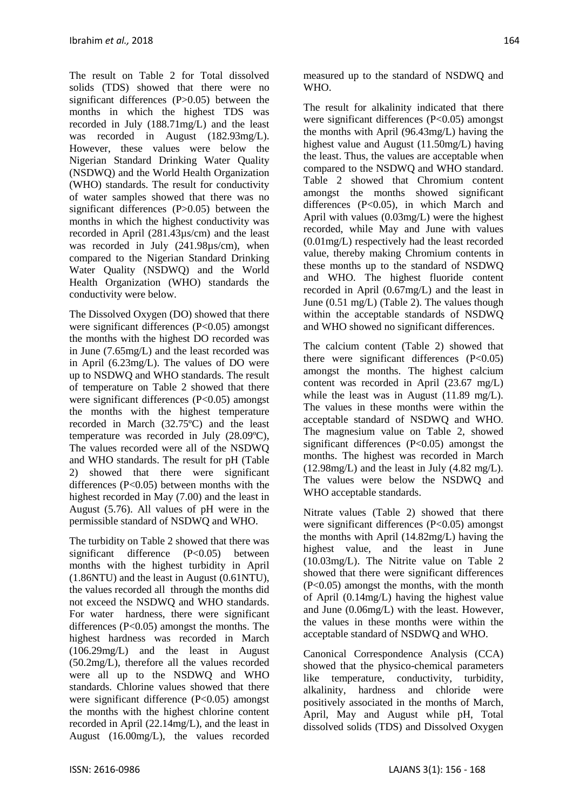The result on Table 2 for Total dissolved solids (TDS) showed that there were no significant differences (P>0.05) between the months in which the highest TDS was recorded in July (188.71mg/L) and the least was recorded in August (182.93mg/L). However, these values were below the Nigerian Standard Drinking Water Quality (NSDWQ) and the World Health Organization (WHO) standards. The result for conductivity of water samples showed that there was no significant differences (P>0.05) between the months in which the highest conductivity was recorded in April (281.43µs/cm) and the least was recorded in July (241.98 $\mu$ s/cm), when compared to the Nigerian Standard Drinking Water Quality (NSDWQ) and the World Health Organization (WHO) standards the conductivity were below.

The Dissolved Oxygen (DO) showed that there were significant differences (P<0.05) amongst the months with the highest DO recorded was in June (7.65mg/L) and the least recorded was in April (6.23mg/L). The values of DO were up to NSDWQ and WHO standards. The result of temperature on Table 2 showed that there were significant differences (P<0.05) amongst the months with the highest temperature recorded in March (32.75ºC) and the least temperature was recorded in July (28.09ºC), The values recorded were all of the NSDWQ and WHO standards. The result for pH (Table 2) showed that there were significant differences  $(P<0.05)$  between months with the highest recorded in May (7.00) and the least in August (5.76). All values of pH were in the permissible standard of NSDWQ and WHO.

The turbidity on Table 2 showed that there was significant difference (P<0.05) between months with the highest turbidity in April (1.86NTU) and the least in August (0.61NTU), the values recorded all through the months did not exceed the NSDWQ and WHO standards. For water hardness, there were significant differences (P<0.05) amongst the months. The highest hardness was recorded in March (106.29mg/L) and the least in August (50.2mg/L), therefore all the values recorded were all up to the NSDWQ and WHO standards. Chlorine values showed that there were significant difference (P<0.05) amongst the months with the highest chlorine content recorded in April (22.14mg/L), and the least in August (16.00mg/L), the values recorded measured up to the standard of NSDWQ and WHO.

The result for alkalinity indicated that there were significant differences (P<0.05) amongst the months with April (96.43mg/L) having the highest value and August (11.50mg/L) having the least. Thus, the values are acceptable when compared to the NSDWQ and WHO standard. Table 2 showed that Chromium content amongst the months showed significant differences (P<0.05), in which March and April with values (0.03mg/L) were the highest recorded, while May and June with values (0.01mg/L) respectively had the least recorded value, thereby making Chromium contents in these months up to the standard of NSDWQ and WHO. The highest fluoride content recorded in April (0.67mg/L) and the least in June (0.51 mg/L) (Table 2). The values though within the acceptable standards of NSDWQ and WHO showed no significant differences.

The calcium content (Table 2) showed that there were significant differences  $(P<0.05)$ amongst the months. The highest calcium content was recorded in April (23.67 mg/L) while the least was in August (11.89 mg/L). The values in these months were within the acceptable standard of NSDWQ and WHO. The magnesium value on Table 2, showed significant differences (P<0.05) amongst the months. The highest was recorded in March  $(12.98mg/L)$  and the least in July  $(4.82 \text{ mg/L})$ . The values were below the NSDWQ and WHO acceptable standards.

Nitrate values (Table 2) showed that there were significant differences (P<0.05) amongst the months with April (14.82mg/L) having the highest value, and the least in June (10.03mg/L). The Nitrite value on Table 2 showed that there were significant differences (P<0.05) amongst the months, with the month of April (0.14mg/L) having the highest value and June (0.06mg/L) with the least. However, the values in these months were within the acceptable standard of NSDWQ and WHO.

Canonical Correspondence Analysis (CCA) showed that the physico-chemical parameters like temperature, conductivity, turbidity, alkalinity, hardness and chloride were positively associated in the months of March, April, May and August while pH, Total dissolved solids (TDS) and Dissolved Oxygen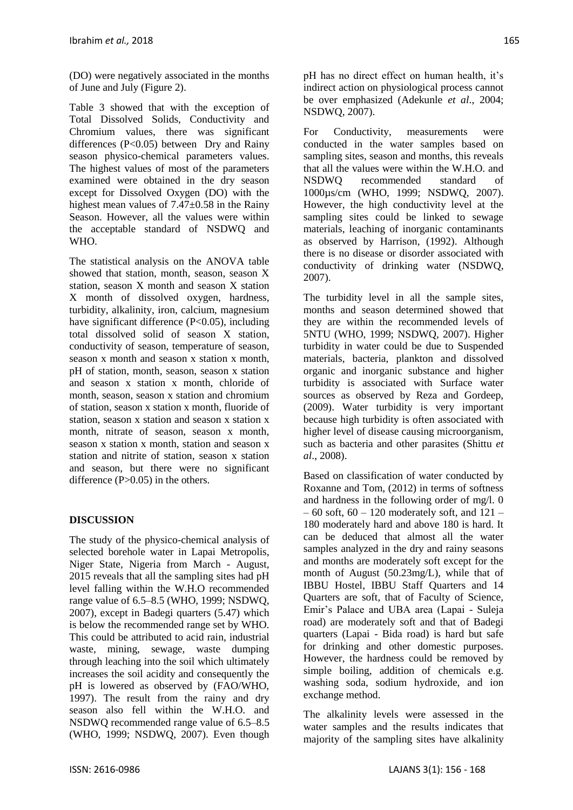(DO) were negatively associated in the months of June and July (Figure 2).

Table 3 showed that with the exception of Total Dissolved Solids, Conductivity and Chromium values, there was significant differences (P<0.05) between Dry and Rainy season physico-chemical parameters values. The highest values of most of the parameters examined were obtained in the dry season except for Dissolved Oxygen (DO) with the highest mean values of 7.47±0.58 in the Rainy Season. However, all the values were within the acceptable standard of NSDWQ and WHO.

The statistical analysis on the ANOVA table showed that station, month, season, season X station, season X month and season X station X month of dissolved oxygen, hardness, turbidity, alkalinity, iron, calcium, magnesium have significant difference (P<0.05), including total dissolved solid of season X station, conductivity of season, temperature of season, season x month and season x station x month, pH of station, month, season, season x station and season x station x month, chloride of month, season, season x station and chromium of station, season x station x month, fluoride of station, season x station and season x station x month, nitrate of season, season x month, season x station x month, station and season x station and nitrite of station, season x station and season, but there were no significant difference (P>0.05) in the others.

## **DISCUSSION**

The study of the physico-chemical analysis of selected borehole water in Lapai Metropolis, Niger State, Nigeria from March - August, 2015 reveals that all the sampling sites had pH level falling within the W.H.O recommended range value of 6.5–8.5 (WHO, 1999; NSDWQ, 2007), except in Badegi quarters (5.47) which is below the recommended range set by WHO. This could be attributed to acid rain, industrial waste, mining, sewage, waste dumping through leaching into the soil which ultimately increases the soil acidity and consequently the pH is lowered as observed by (FAO/WHO, 1997). The result from the rainy and dry season also fell within the W.H.O. and NSDWQ recommended range value of 6.5–8.5 (WHO, 1999; NSDWQ, 2007). Even though

pH has no direct effect on human health, it's indirect action on physiological process cannot be over emphasized (Adekunle *et al*., 2004; NSDWQ, 2007).

For Conductivity, measurements were conducted in the water samples based on sampling sites, season and months, this reveals that all the values were within the W.H.O. and NSDWQ recommended standard of 1000µs/cm (WHO, 1999; NSDWQ, 2007). However, the high conductivity level at the sampling sites could be linked to sewage materials, leaching of inorganic contaminants as observed by Harrison, (1992). Although there is no disease or disorder associated with conductivity of drinking water (NSDWQ, 2007).

The turbidity level in all the sample sites, months and season determined showed that they are within the recommended levels of 5NTU (WHO, 1999; NSDWQ, 2007). Higher turbidity in water could be due to Suspended materials, bacteria, plankton and dissolved organic and inorganic substance and higher turbidity is associated with Surface water sources as observed by Reza and Gordeep, (2009). Water turbidity is very important because high turbidity is often associated with higher level of disease causing microorganism, such as bacteria and other parasites (Shittu *et al*., 2008).

Based on classification of water conducted by Roxanne and Tom, (2012) in terms of softness and hardness in the following order of mg/l. 0  $-60$  soft,  $60 - 120$  moderately soft, and  $121 -$ 180 moderately hard and above 180 is hard. It can be deduced that almost all the water samples analyzed in the dry and rainy seasons and months are moderately soft except for the month of August (50.23mg/L), while that of IBBU Hostel, IBBU Staff Quarters and 14 Quarters are soft, that of Faculty of Science, Emir's Palace and UBA area (Lapai - Suleja road) are moderately soft and that of Badegi quarters (Lapai - Bida road) is hard but safe for drinking and other domestic purposes. However, the hardness could be removed by simple boiling, addition of chemicals e.g. washing soda, sodium hydroxide, and ion exchange method.

The alkalinity levels were assessed in the water samples and the results indicates that majority of the sampling sites have alkalinity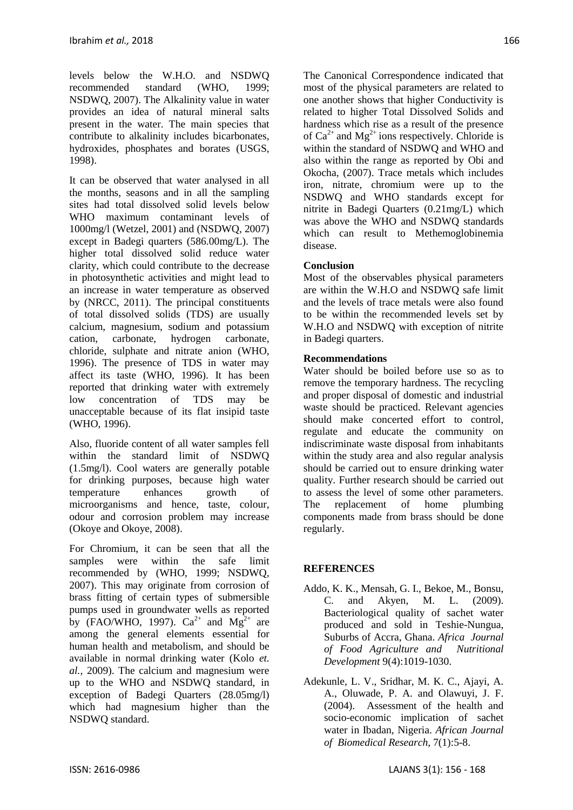levels below the W.H.O. and NSDWQ recommended standard (WHO, 1999; NSDWQ, 2007). The Alkalinity value in water provides an idea of natural mineral salts present in the water. The main species that contribute to alkalinity includes bicarbonates, hydroxides, phosphates and borates (USGS, 1998).

It can be observed that water analysed in all the months, seasons and in all the sampling sites had total dissolved solid levels below WHO maximum contaminant levels of 1000mg/l (Wetzel, 2001) and (NSDWQ, 2007) except in Badegi quarters (586.00mg/L). The higher total dissolved solid reduce water clarity, which could contribute to the decrease in photosynthetic activities and might lead to an increase in water temperature as observed by (NRCC, 2011). The principal constituents of total dissolved solids (TDS) are usually calcium, magnesium, sodium and potassium cation, carbonate, hydrogen carbonate, chloride, sulphate and nitrate anion (WHO, 1996). The presence of TDS in water may affect its taste (WHO, 1996). It has been reported that drinking water with extremely low concentration of TDS may be unacceptable because of its flat insipid taste (WHO, 1996).

Also, fluoride content of all water samples fell within the standard limit of NSDWQ (1.5mg/l). Cool waters are generally potable for drinking purposes, because high water temperature enhances growth of microorganisms and hence, taste, colour, odour and corrosion problem may increase (Okoye and Okoye, 2008).

For Chromium, it can be seen that all the samples were within the safe limit recommended by (WHO, 1999; NSDWQ, 2007). This may originate from corrosion of brass fitting of certain types of submersible pumps used in groundwater wells as reported by (FAO/WHO, 1997).  $Ca^{2+}$  and  $Mg^{2+}$  are among the general elements essential for human health and metabolism, and should be available in normal drinking water (Kolo *et. al.,* 2009). The calcium and magnesium were up to the WHO and NSDWQ standard, in exception of Badegi Quarters (28.05mg/l) which had magnesium higher than the NSDWQ standard.

The Canonical Correspondence indicated that most of the physical parameters are related to one another shows that higher Conductivity is related to higher Total Dissolved Solids and hardness which rise as a result of the presence of  $Ca^{2+}$  and Mg<sup>2+</sup> ions respectively. Chloride is within the standard of NSDWQ and WHO and also within the range as reported by Obi and Okocha, (2007). Trace metals which includes iron, nitrate, chromium were up to the NSDWQ and WHO standards except for nitrite in Badegi Quarters (0.21mg/L) which was above the WHO and NSDWQ standards which can result to Methemoglobinemia disease.

## **Conclusion**

Most of the observables physical parameters are within the W.H.O and NSDWQ safe limit and the levels of trace metals were also found to be within the recommended levels set by W.H.O and NSDWQ with exception of nitrite in Badegi quarters.

## **Recommendations**

Water should be boiled before use so as to remove the temporary hardness. The recycling and proper disposal of domestic and industrial waste should be practiced. Relevant agencies should make concerted effort to control, regulate and educate the community on indiscriminate waste disposal from inhabitants within the study area and also regular analysis should be carried out to ensure drinking water quality. Further research should be carried out to assess the level of some other parameters. The replacement of home plumbing components made from brass should be done regularly.

## **REFERENCES**

- Addo, K. K., Mensah, G. I., Bekoe, M., Bonsu, C. and Akyen, M. L. (2009). Bacteriological quality of sachet water produced and sold in Teshie-Nungua, Suburbs of Accra, Ghana. *Africa Journal of Food Agriculture and Nutritional Development* 9(4):1019-1030.
- Adekunle, L. V., Sridhar, M. K. C., Ajayi, A. A., Oluwade, P. A. and Olawuyi, J. F. (2004). Assessment of the health and socio-economic implication of sachet water in Ibadan, Nigeria. *African Journal of Biomedical Research,* 7(1):5-8.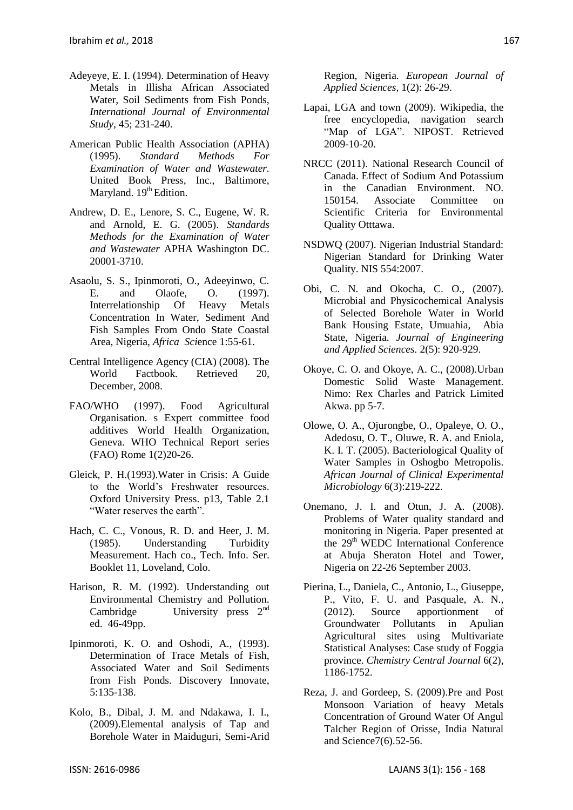- Adeyeye, E. I. (1994). Determination of Heavy Metals in Illisha African Associated Water, Soil Sediments from Fish Ponds, *International Journal of Environmental Study*, 45; 231-240.
- American Public Health Association (APHA) (1995). *Standard Methods For Examination of Water and Wastewater.* United Book Press, Inc., Baltimore, Maryland.  $19<sup>th</sup>$  Edition.
- Andrew, D. E., Lenore, S. C., Eugene, W. R. and Arnold, E. G. (2005). *Standards Methods for the Examination of Water and Wastewater* APHA Washington DC. 20001-3710.
- Asaolu, S. S., Ipinmoroti, O., Adeeyinwo, C. E. and Olaofe, O. (1997). Interrelationship Of Heavy Metals Concentration In Water, Sediment And Fish Samples From Ondo State Coastal Area, Nigeria, *Africa Sci*ence 1:55-61.
- Central Intelligence Agency (CIA) (2008). The World Factbook. Retrieved 20, December, 2008.
- FAO/WHO (1997). Food Agricultural Organisation. s Expert committee food additives World Health Organization, Geneva. WHO Technical Report series (FAO) Rome 1(2)20-26.
- Gleick, P. H.(1993).Water in Crisis: A Guide to the World's Freshwater resources. Oxford University Press. p13, Table 2.1 "Water reserves the earth".
- Hach, C. C., Vonous, R. D. and Heer, J. M. (1985). Understanding Turbidity Measurement. Hach co., Tech. Info. Ser. Booklet 11, Loveland, Colo.
- Harison, R. M. (1992). Understanding out Environmental Chemistry and Pollution. Cambridge University press  $2<sup>nd</sup>$ ed. 46-49pp.
- Ipinmoroti, K. O. and Oshodi, A., (1993). Determination of Trace Metals of Fish, Associated Water and Soil Sediments from Fish Ponds. Discovery Innovate, 5:135-138.
- Kolo, B., Dibal, J. M. and Ndakawa, I. I., (2009).Elemental analysis of Tap and Borehole Water in Maiduguri, Semi-Arid

Region, Nigeria. *European Journal of Applied Sciences,* 1(2): 26-29.

- Lapai, LGA and town (2009). Wikipedia, the free encyclopedia, navigation search "Map of LGA". NIPOST. Retrieved 2009-10-20.
- NRCC (2011). National Research Council of Canada. Effect of Sodium And Potassium in the Canadian Environment. NO. 150154. Associate Committee on Scientific Criteria for Environmental Quality Otttawa.
- NSDWQ (2007). Nigerian Industrial Standard: Nigerian Standard for Drinking Water Quality. NIS 554:2007.
- Obi, C. N. and Okocha, C. O., (2007). Microbial and Physicochemical Analysis of Selected Borehole Water in World Bank Housing Estate, Umuahia, Abia State, Nigeria. *Journal of Engineering and Applied Sciences.* 2(5): 920-929.
- Okoye, C. O. and Okoye, A. C., (2008).Urban Domestic Solid Waste Management. Nimo: Rex Charles and Patrick Limited Akwa. pp 5-7.
- Olowe, O. A., Ojurongbe, O., Opaleye, O. O., Adedosu, O. T., Oluwe, R. A. and Eniola, K. I. T. (2005). Bacteriological Quality of Water Samples in Oshogbo Metropolis. *African Journal of Clinical Experimental Microbiology* 6(3):219-222.
- Onemano, J. I. and Otun, J. A. (2008). Problems of Water quality standard and monitoring in Nigeria. Paper presented at the  $29<sup>th</sup>$  WEDC International Conference at Abuja Sheraton Hotel and Tower, Nigeria on 22-26 September 2003.
- Pierina, L., Daniela, C., Antonio, L., Giuseppe, P., Vito, F. U. and Pasquale, A. N., (2012). Source apportionment of Groundwater Pollutants in Apulian Agricultural sites using Multivariate Statistical Analyses: Case study of Foggia province. *Chemistry Central Journal* 6(2), 1186-1752.
- Reza, J. and Gordeep, S. (2009).Pre and Post Monsoon Variation of heavy Metals Concentration of Ground Water Of Angul Talcher Region of Orisse, India Natural and Science7(6).52-56.